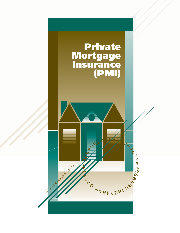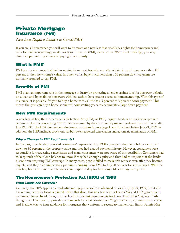# **Private Mortgage Insurance (PMI)**

*New Law Requires Lenders to Cancel PMI*

If you are a homeowner, you will want to be aware of a new law that establishes rights for homeowners and rules for lenders regarding private mortgage insurance (PMI) cancellation. With this knowledge, you may eliminate premiums you may be paying unnecessarily.

## **What Is PMI?**

PMI is extra insurance that lenders require from most homebuyers who obtain loans that are more than 80 percent of their new home's value. In other words, buyers with less than a 20 percent down payment are normally required to pay PMI.

## **Benefits of PMI**

PMI plays an important role in the mortgage industry by protecting a lender against loss if a borrower defaults on a loan and by enabling borrowers with less cash to have greater access to homeownership. With this type of insurance, it is possible for you to buy a home with as little as a 3 percent to 5 percent down payment. This means that you can buy a home sooner without waiting years to accumulate a large down payment.

## **New PMI Requirements**

A new federal law, the Homeowner's Protection Act (HPA) of 1998, requires lenders or servicers to provide certain disclosures concerning PMI for loans secured by the consumer's primary residence obtained on or after July 29, 1999. The HPA also contains disclosure provisions for mortgage loans that closed before July 29, 1999. In addition, the HPA includes provisions for borrower-requested cancellation and automatic termination of PMI.

### *Why a Change in PMI Requirements?*

In the past, most lenders honored consumers' requests to drop PMI coverage if their loan balance was paid down to 80 percent of the property value and they had a good payment history. However, consumers were responsible for requesting cancellation and many consumers were not aware of this possibility. Consumers had to keep track of their loan balance to know if they had enough equity and they had to request that the lender discontinue requiring PMI coverage. In many cases, people failed to make this request even after they became eligible, and they paid unnecessary premiums ranging from \$250 to \$1,200 per year for several years. With the new law, both consumers and lenders share responsibility for how long PMI coverage is required.

## **The Homeowner's Protection Act (HPA) of 1998**

### *What Loans Are Covered?*

Generally, the HPA applies to residential mortgage transactions obtained on or after July 29, 1999, but it also has requirements for loans obtained before that date. This new law does not cover VA and FHA governmentguaranteed loans. In addition, the new law has different requirements for loans classified as "high-risk." Although the HPA does not provide the standards for what constitutes a "high risk" loan, it permits Fannie Mae and Freddie Mac to issue guidance for mortgages that conform to secondary market loan limits. Fannie Mae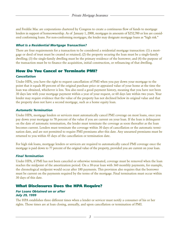and Freddie Mac are corporations chartered by Congress to create a continuous flow of funds to mortgage lenders in support of homeownership. As of January 1, 2000, mortgages in amounts of \$252,700 or less are considered conforming loans. For non-conforming mortgages, the lender may designate mortgage loans as "high risk."

#### *What Is a Residential Mortgage Transaction?*

There are four requirements for a transaction to be considered a residential mortgage transaction: (1) a mortgage or deed of trust must be created or retained; (2) the property securing the loan must be a single-family dwelling; (3) the single-family dwelling must be the primary residence of the borrower; and (4) the purpose of the transaction must be to finance the acquisition, initial construction, or refinancing of that dwelling.

## **How Do You Cancel or Terminate PMI?**

#### *Cancellation*

Under HPA, you have the right to request cancellation of PMI when you pay down your mortgage to the point that it equals 80 percent of the original purchase price or appraised value of your home at the time the loan was obtained, whichever is less. You also need a good payment history, meaning that you have not been 30 days late with your mortgage payment within a year of your request, or 60 days late within two years. Your lender may require evidence that the value of the property has not declined below its original value and that the property does not have a second mortgage, such as a home equity loan.

#### *Automatic Termination*

Under HPA, mortgage lenders or servicers must automatically cancel PMI coverage on most loans, once you pay down your mortgage to 78 percent of the value if you are current on your loan. If the loan is delinquent on the date of automatic termination, the lender must terminate the coverage as soon thereafter as the loan becomes current. Lenders must terminate the coverage within 30 days of cancellation or the automatic termination date, and are not permitted to require PMI premiums after this date. Any unearned premiums must be returned to you within 45 days of the cancellation or termination date.

For high risk loans, mortgage lenders or servicers are required to automatically cancel PMI coverage once the mortgage is paid down to 77 percent of the original value of the property, provided you are current on your loan.

#### *Final Termination*

Under HPA, if PMI has not been canceled or otherwise terminated, coverage must be removed when the loan reaches the midpoint of the amortization period. On a 30-year loan with 360 monthly payments, for example, the chronological midpoint would occur after 180 payments. This provision also requires that the borrower must be current on the payments required by the terms of the mortgage. Final termination must occur within 30 days of this date.

## **What Disclosures Does the HPA Require?**

#### *For Loans Obtained on or after July 29, 1999*

The HPA establishes three different times when a lender or servicer must notify a consumer of his or her rights. Those times are at loan closing, annually, and upon cancellation or termination of PMI.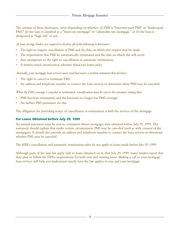The content of these disclosures varies depending on whether: (1) PMI is "borrower-paid PMI" or "lender-paid PMI," (2) the loan is classified as a "fixed rate mortgage" or "adjustable rate mortgage," or (3) the loan is designated as "high risk" or not.

#### *At loan closing, lenders are required to disclose all of the following to borrowers:*

- The right to request cancellation of PMI and the date on which this request may be made.
- The requirement that PMI be automatically terminated and the date on which this will occur.
- Any exemptions to the right to cancellation or automatic termination.
- A written initial amortization schedule (fixed-rate loans only).

#### *Annually, your mortgage loan servicer must send borrowers a written statement that discloses:*

- The right to cancel or terminate PMI.
- An address and telephone number to contact the loan servicer to determine when PMI may be canceled.

#### *When the PMI coverage is canceled or terminated, a notification must be sent to the consumer stating that:*

- PMI has been terminated, and the borrower no longer has PMI coverage.
- No further PMI premiums are due.

The obligation for providing notice of cancellation or termination is with the servicer of the mortgage.

### *For Loans Obtained before July 29, 1999*

An annual statement must be sent to consumers whose mortgages were obtained before July 29, 1999. This statement should explain that under certain circumstances PMI may be canceled (such as with consent of the mortgagee). It should also provide an address and telephone number to contact the loan servicer to determine whether PMI may be canceled.

The HPA's cancellation and automatic termination rules do not apply to loans made before July 29, 1999.

Although parts of the new law apply only to loans obtained on or after July 29, 1999, many lenders report that they plan to follow the HPA's requirements for both new and existing loans. Making a call to your mortgage loan servicer will help you understand exactly how the law applies to you and your mortgage.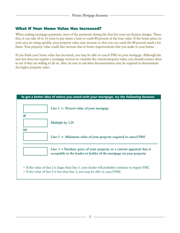## **What If Your Home Value Has Increased?**

When making mortgage payments, most of the payments during the first few years are finance charges. Therefore, it can take 10 to 15 years to pay down a loan to reach 80 percent of the loan value. If the home prices in your area are rising quickly, your property value may increase so that you can reach the 80 percent mark a lot faster. Your property value could also increase due to home improvements that you make to your home.

If you think your home value has increased, you may be able to cancel PMI on your mortgage. Although the new law does not require a mortgage servicer to consider the current property value, you should contact them to see if they are willing to do so. Also, be sure to ask what documentation may be required to demonstrate the higher property value.